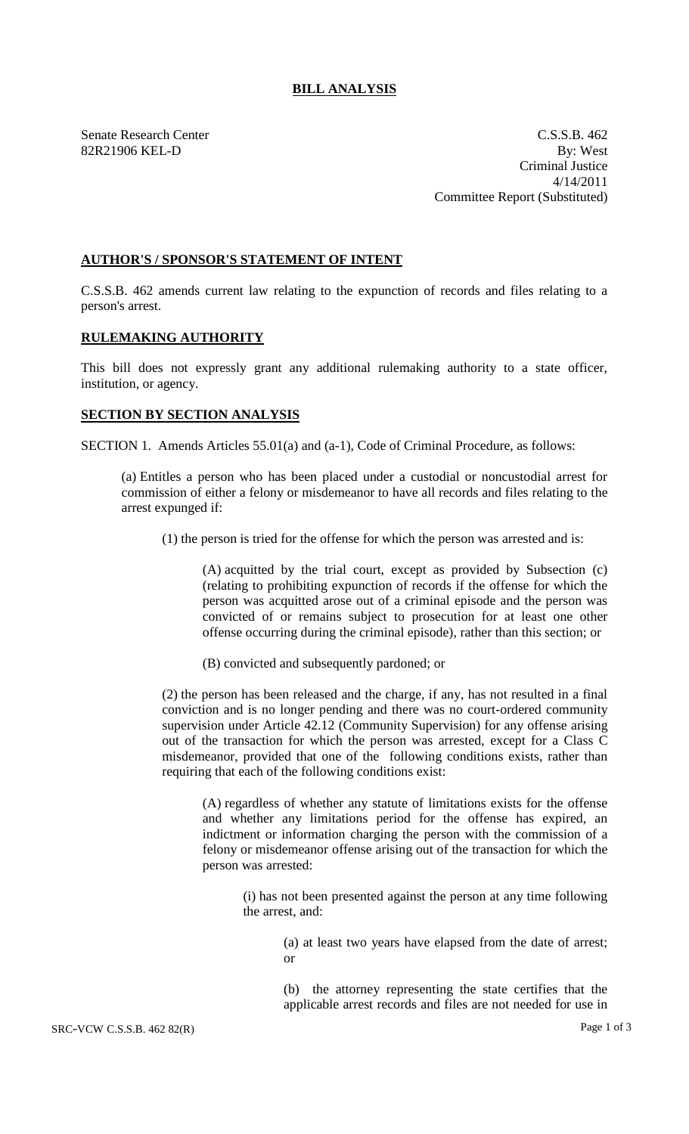## **BILL ANALYSIS**

Senate Research Center C.S.S.B. 462 82R21906 KEL-D By: West Criminal Justice 4/14/2011 Committee Report (Substituted)

## **AUTHOR'S / SPONSOR'S STATEMENT OF INTENT**

C.S.S.B. 462 amends current law relating to the expunction of records and files relating to a person's arrest.

## **RULEMAKING AUTHORITY**

This bill does not expressly grant any additional rulemaking authority to a state officer, institution, or agency.

## **SECTION BY SECTION ANALYSIS**

SECTION 1. Amends Articles 55.01(a) and (a-1), Code of Criminal Procedure, as follows:

(a) Entitles a person who has been placed under a custodial or noncustodial arrest for commission of either a felony or misdemeanor to have all records and files relating to the arrest expunged if:

(1) the person is tried for the offense for which the person was arrested and is:

(A) acquitted by the trial court, except as provided by Subsection (c) (relating to prohibiting expunction of records if the offense for which the person was acquitted arose out of a criminal episode and the person was convicted of or remains subject to prosecution for at least one other offense occurring during the criminal episode), rather than this section; or

(B) convicted and subsequently pardoned; or

(2) the person has been released and the charge, if any, has not resulted in a final conviction and is no longer pending and there was no court-ordered community supervision under Article 42.12 (Community Supervision) for any offense arising out of the transaction for which the person was arrested, except for a Class C misdemeanor, provided that one of the following conditions exists, rather than requiring that each of the following conditions exist:

(A) regardless of whether any statute of limitations exists for the offense and whether any limitations period for the offense has expired, an indictment or information charging the person with the commission of a felony or misdemeanor offense arising out of the transaction for which the person was arrested:

(i) has not been presented against the person at any time following the arrest, and:

> (a) at least two years have elapsed from the date of arrest; or

> (b) the attorney representing the state certifies that the applicable arrest records and files are not needed for use in

SRC-VCW C.S.S.B. 462 82(R) Page 1 of 3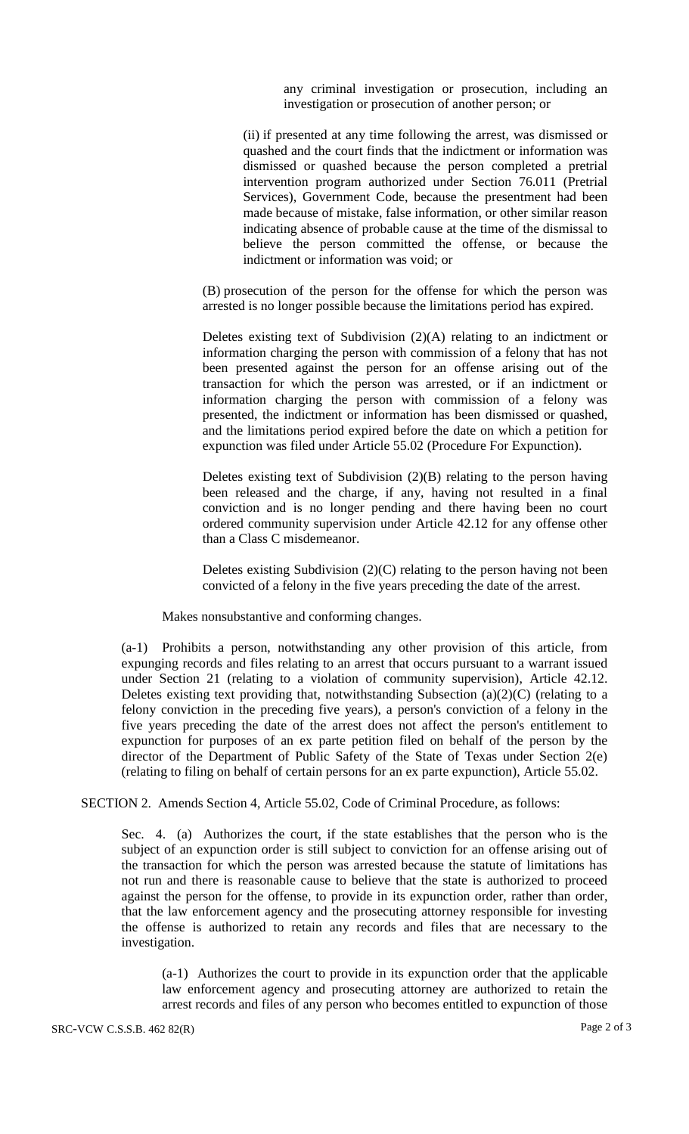any criminal investigation or prosecution, including an investigation or prosecution of another person; or

(ii) if presented at any time following the arrest, was dismissed or quashed and the court finds that the indictment or information was dismissed or quashed because the person completed a pretrial intervention program authorized under Section 76.011 (Pretrial Services), Government Code, because the presentment had been made because of mistake, false information, or other similar reason indicating absence of probable cause at the time of the dismissal to believe the person committed the offense, or because the indictment or information was void; or

(B) prosecution of the person for the offense for which the person was arrested is no longer possible because the limitations period has expired.

Deletes existing text of Subdivision  $(2)(A)$  relating to an indictment or information charging the person with commission of a felony that has not been presented against the person for an offense arising out of the transaction for which the person was arrested, or if an indictment or information charging the person with commission of a felony was presented, the indictment or information has been dismissed or quashed, and the limitations period expired before the date on which a petition for expunction was filed under Article 55.02 (Procedure For Expunction).

Deletes existing text of Subdivision  $(2)(B)$  relating to the person having been released and the charge, if any, having not resulted in a final conviction and is no longer pending and there having been no court ordered community supervision under Article 42.12 for any offense other than a Class C misdemeanor.

Deletes existing Subdivision  $(2)(C)$  relating to the person having not been convicted of a felony in the five years preceding the date of the arrest.

Makes nonsubstantive and conforming changes.

(a-1) Prohibits a person, notwithstanding any other provision of this article, from expunging records and files relating to an arrest that occurs pursuant to a warrant issued under Section 21 (relating to a violation of community supervision), Article 42.12. Deletes existing text providing that, notwithstanding Subsection (a)(2)(C) (relating to a felony conviction in the preceding five years), a person's conviction of a felony in the five years preceding the date of the arrest does not affect the person's entitlement to expunction for purposes of an ex parte petition filed on behalf of the person by the director of the Department of Public Safety of the State of Texas under Section 2(e) (relating to filing on behalf of certain persons for an ex parte expunction), Article 55.02.

SECTION 2. Amends Section 4, Article 55.02, Code of Criminal Procedure, as follows:

Sec. 4. (a) Authorizes the court, if the state establishes that the person who is the subject of an expunction order is still subject to conviction for an offense arising out of the transaction for which the person was arrested because the statute of limitations has not run and there is reasonable cause to believe that the state is authorized to proceed against the person for the offense, to provide in its expunction order, rather than order, that the law enforcement agency and the prosecuting attorney responsible for investing the offense is authorized to retain any records and files that are necessary to the investigation.

(a-1) Authorizes the court to provide in its expunction order that the applicable law enforcement agency and prosecuting attorney are authorized to retain the arrest records and files of any person who becomes entitled to expunction of those